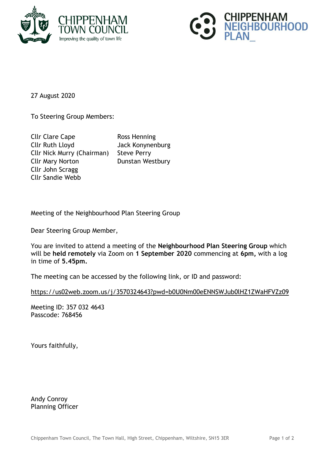



27 August 2020

To Steering Group Members:

Cllr Clare Cape Ross Henning Cllr Ruth Lloyd Jack Konynenburg Cllr Nick Murry (Chairman) Steve Perry Cllr Mary Norton Dunstan Westbury Cllr John Scragg Cllr Sandie Webb

Meeting of the Neighbourhood Plan Steering Group

Dear Steering Group Member,

You are invited to attend a meeting of the **Neighbourhood Plan Steering Group** which will be **held remotely** via Zoom on **1 September 2020** commencing at **6pm,** with a log in time of **5.45pm.**

The meeting can be accessed by the following link, or ID and password:

<https://us02web.zoom.us/j/3570324643?pwd=b0U0Nm00eENNSWJub0lHZ1ZWaHFVZz09>

Meeting ID: 357 032 4643 Passcode: 768456

Yours faithfully,

Andy Conroy Planning Officer